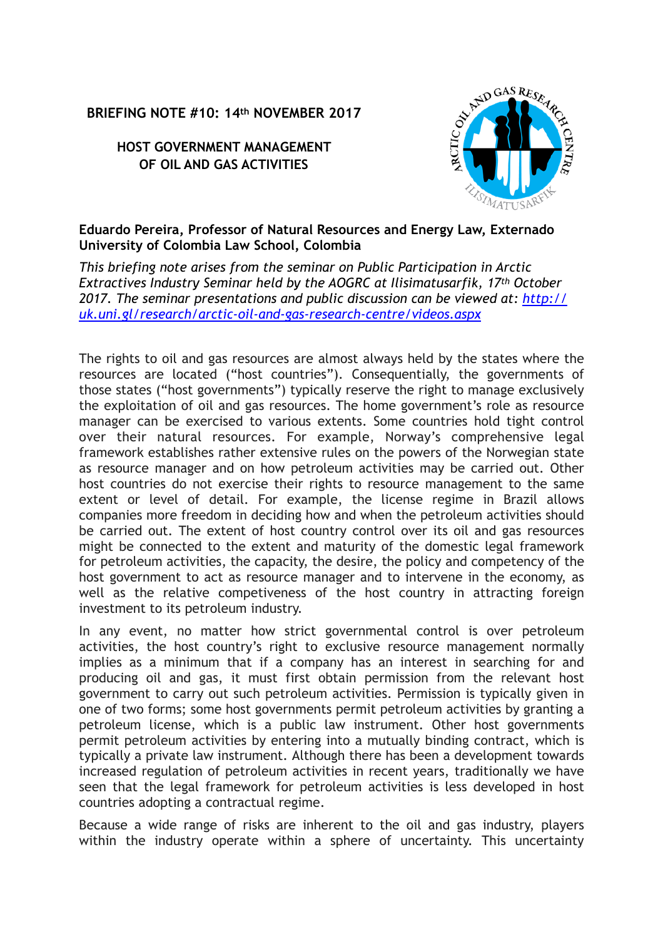## **BRIEFING NOTE #10: 14th NOVEMBER 2017**

## **HOST GOVERNMENT MANAGEMENT OF OIL AND GAS ACTIVITIES**



## **Eduardo Pereira, Professor of Natural Resources and Energy Law, Externado University of Colombia Law School, Colombia**

*This briefing note arises from the seminar on Public Participation in Arctic Extractives Industry Seminar held by the AOGRC at Ilisimatusarfik, 17th October 2017. The seminar presentations and public discussion can be viewed at: [http://](http://uk.uni.gl/research/arctic-oil-and-gas-research-centre/videos.aspx) [uk.uni.gl/research/arctic-oil-and-gas-research-centre/videos.aspx](http://uk.uni.gl/research/arctic-oil-and-gas-research-centre/videos.aspx)*

The rights to oil and gas resources are almost always held by the states where the resources are located ("host countries"). Consequentially, the governments of those states ("host governments") typically reserve the right to manage exclusively the exploitation of oil and gas resources. The home government's role as resource manager can be exercised to various extents. Some countries hold tight control over their natural resources. For example, Norway's comprehensive legal framework establishes rather extensive rules on the powers of the Norwegian state as resource manager and on how petroleum activities may be carried out. Other host countries do not exercise their rights to resource management to the same extent or level of detail. For example, the license regime in Brazil allows companies more freedom in deciding how and when the petroleum activities should be carried out. The extent of host country control over its oil and gas resources might be connected to the extent and maturity of the domestic legal framework for petroleum activities, the capacity, the desire, the policy and competency of the host government to act as resource manager and to intervene in the economy, as well as the relative competiveness of the host country in attracting foreign investment to its petroleum industry.

In any event, no matter how strict governmental control is over petroleum activities, the host country's right to exclusive resource management normally implies as a minimum that if a company has an interest in searching for and producing oil and gas, it must first obtain permission from the relevant host government to carry out such petroleum activities. Permission is typically given in one of two forms; some host governments permit petroleum activities by granting a petroleum license, which is a public law instrument. Other host governments permit petroleum activities by entering into a mutually binding contract, which is typically a private law instrument. Although there has been a development towards increased regulation of petroleum activities in recent years, traditionally we have seen that the legal framework for petroleum activities is less developed in host countries adopting a contractual regime.

Because a wide range of risks are inherent to the oil and gas industry, players within the industry operate within a sphere of uncertainty. This uncertainty